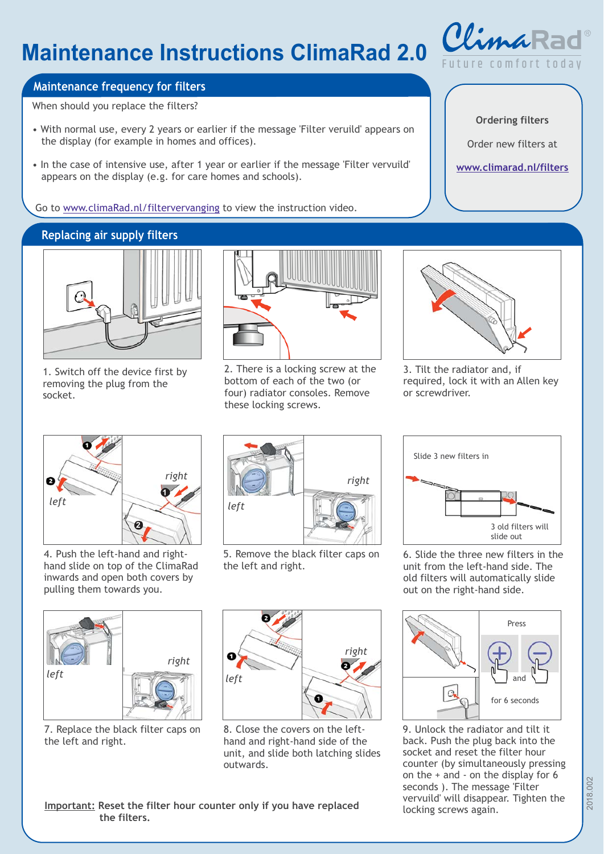# **Maintenance Instructions Clima Rad 2.0**



## **Maintenance frequency for filters**

When should you replace the filters?

- With normal use, every 2 years or earlier if the message 'Filter veruild' appears on the display (for example in homes and offices).
- In the case of intensive use, after 1 year or earlier if the message 'Filter vervuild' appears on the display (e.g. for care homes and schools).

Go to www.climaRad.nl/filtervervanging to view the instruction video.

## **Replacing air supply filters**



1. Switch off the device first by removing the plug from the socket.



2. There is a locking screw at the bottom of each of the two (or four) radiator consoles. Remove these locking screws.



3. Tilt the radiator and, if required, lock it with an Allen key or screwdriver.



4. Push the left-hand and righthand slide on top of the ClimaRad inwards and open both covers by pulling them towards you.



5. Remove the black filter caps on the left and right.





**the filters.**

Important: Reset the filter hour counter only if you have replaced



8. Close the covers on the lefthand and right-hand side of the unit, and slide both latching slides outwards.

Slide 3 new filters in 3 old filters will slide out

6. Slide the three new filters in the unit from the left-hand side. The old filters will automatically slide out on the right-hand side.



<sup>9.</sup> Unlock the radiator and tilt it back. Push the plug back into the socket and reset the filter hour counter (by simultaneously pressing on the + and - on the display for 6 seconds ). The message 'Filter vervuild' will disappear. Tighten the

**Ordering filters**

Order new filters at

**www.climarad.nl/filters**